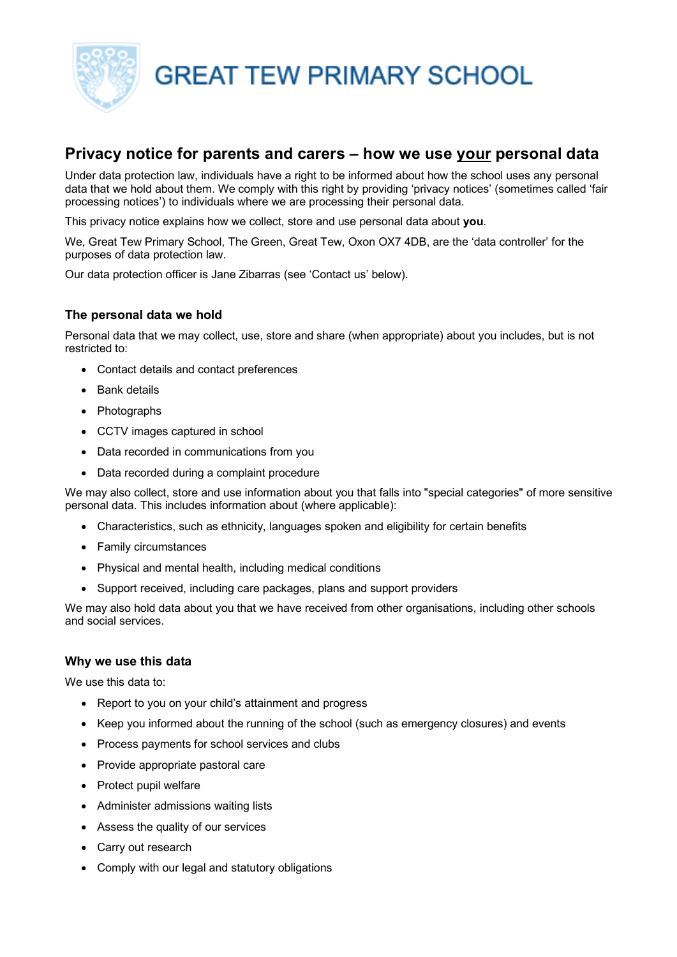

**GREAT TEW PRIMARY SCHOOL** 

# **Privacy notice for parents and carers – how we use your personal data**

Under data protection law, individuals have a right to be informed about how the school uses any personal data that we hold about them. We comply with this right by providing 'privacy notices' (sometimes called 'fair processing notices') to individuals where we are processing their personal data.

This privacy notice explains how we collect, store and use personal data about **you**.

We, Great Tew Primary School, The Green, Great Tew, Oxon OX7 4DB, are the 'data controller' for the purposes of data protection law.

Our data protection officer is Jane Zibarras (see 'Contact us' below).

# **The personal data we hold**

Personal data that we may collect, use, store and share (when appropriate) about you includes, but is not restricted to:

- Contact details and contact preferences
- Bank details
- Photographs
- CCTV images captured in school
- Data recorded in communications from you
- Data recorded during a complaint procedure

We may also collect, store and use information about you that falls into "special categories" of more sensitive personal data. This includes information about (where applicable):

- Characteristics, such as ethnicity, languages spoken and eligibility for certain benefits
- Family circumstances
- Physical and mental health, including medical conditions
- Support received, including care packages, plans and support providers

We may also hold data about you that we have received from other organisations, including other schools and social services.

## **Why we use this data**

We use this data to:

- Report to you on your child's attainment and progress
- Keep you informed about the running of the school (such as emergency closures) and events
- Process payments for school services and clubs
- Provide appropriate pastoral care
- Protect pupil welfare
- Administer admissions waiting lists
- Assess the quality of our services
- Carry out research
- Comply with our legal and statutory obligations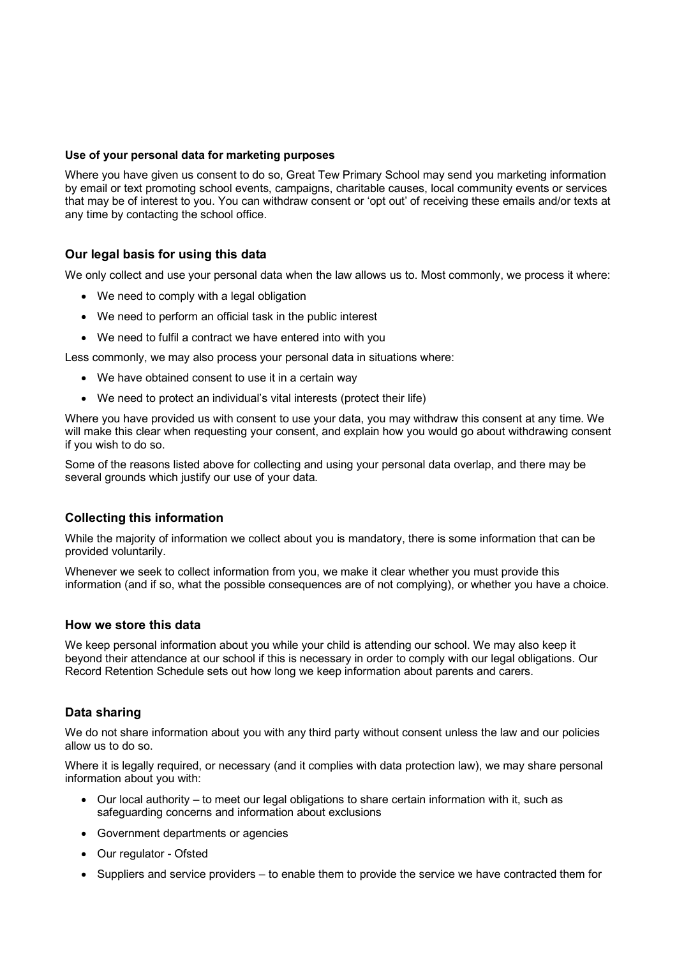### **Use of your personal data for marketing purposes**

Where you have given us consent to do so, Great Tew Primary School may send you marketing information by email or text promoting school events, campaigns, charitable causes, local community events or services that may be of interest to you. You can withdraw consent or 'opt out' of receiving these emails and/or texts at any time by contacting the school office.

# **Our legal basis for using this data**

We only collect and use your personal data when the law allows us to. Most commonly, we process it where:

- We need to comply with a legal obligation
- We need to perform an official task in the public interest
- We need to fulfil a contract we have entered into with you

Less commonly, we may also process your personal data in situations where:

- We have obtained consent to use it in a certain way
- We need to protect an individual's vital interests (protect their life)

Where you have provided us with consent to use your data, you may withdraw this consent at any time. We will make this clear when requesting your consent, and explain how you would go about withdrawing consent if you wish to do so.

Some of the reasons listed above for collecting and using your personal data overlap, and there may be several grounds which justify our use of your data.

#### **Collecting this information**

While the majority of information we collect about you is mandatory, there is some information that can be provided voluntarily.

Whenever we seek to collect information from you, we make it clear whether you must provide this information (and if so, what the possible consequences are of not complying), or whether you have a choice.

#### **How we store this data**

We keep personal information about you while your child is attending our school. We may also keep it beyond their attendance at our school if this is necessary in order to comply with our legal obligations. Our Record Retention Schedule sets out how long we keep information about parents and carers.

#### **Data sharing**

We do not share information about you with any third party without consent unless the law and our policies allow us to do so.

Where it is legally required, or necessary (and it complies with data protection law), we may share personal information about you with:

- Our local authority to meet our legal obligations to share certain information with it, such as safeguarding concerns and information about exclusions
- Government departments or agencies
- Our regulator Ofsted
- Suppliers and service providers to enable them to provide the service we have contracted them for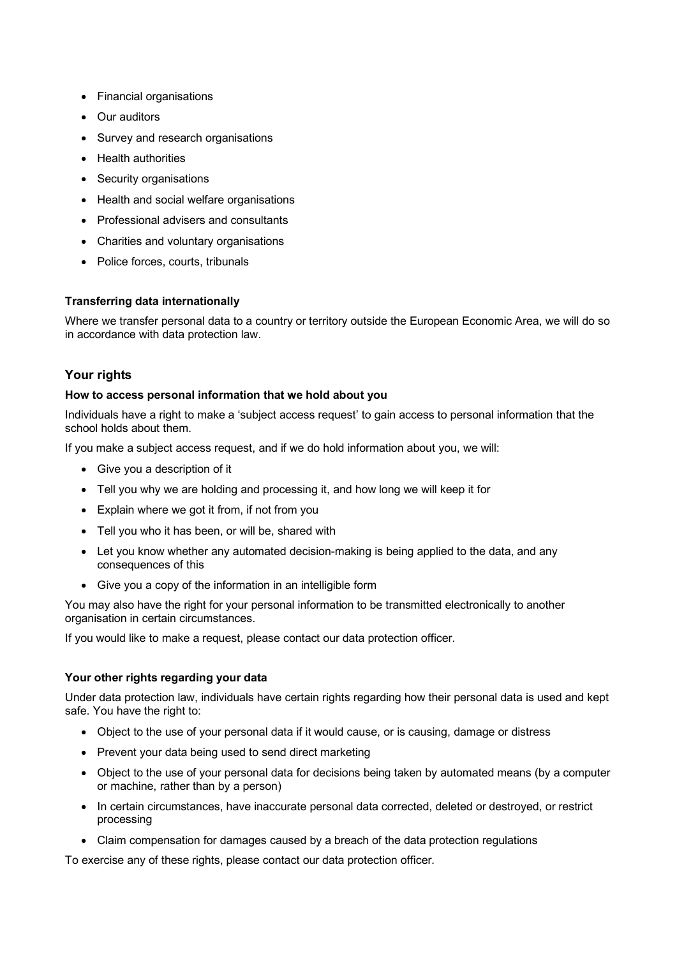- Financial organisations
- Our auditors
- Survey and research organisations
- Health authorities
- Security organisations
- Health and social welfare organisations
- Professional advisers and consultants
- Charities and voluntary organisations
- Police forces, courts, tribunals

## **Transferring data internationally**

Where we transfer personal data to a country or territory outside the European Economic Area, we will do so in accordance with data protection law.

# **Your rights**

#### **How to access personal information that we hold about you**

Individuals have a right to make a 'subject access request' to gain access to personal information that the school holds about them.

If you make a subject access request, and if we do hold information about you, we will:

- Give you a description of it
- Tell you why we are holding and processing it, and how long we will keep it for
- Explain where we got it from, if not from you
- Tell you who it has been, or will be, shared with
- Let you know whether any automated decision-making is being applied to the data, and any consequences of this
- Give you a copy of the information in an intelligible form

You may also have the right for your personal information to be transmitted electronically to another organisation in certain circumstances.

If you would like to make a request, please contact our data protection officer.

## **Your other rights regarding your data**

Under data protection law, individuals have certain rights regarding how their personal data is used and kept safe. You have the right to:

- Object to the use of your personal data if it would cause, or is causing, damage or distress
- Prevent your data being used to send direct marketing
- Object to the use of your personal data for decisions being taken by automated means (by a computer or machine, rather than by a person)
- In certain circumstances, have inaccurate personal data corrected, deleted or destroyed, or restrict processing
- Claim compensation for damages caused by a breach of the data protection regulations

To exercise any of these rights, please contact our data protection officer.